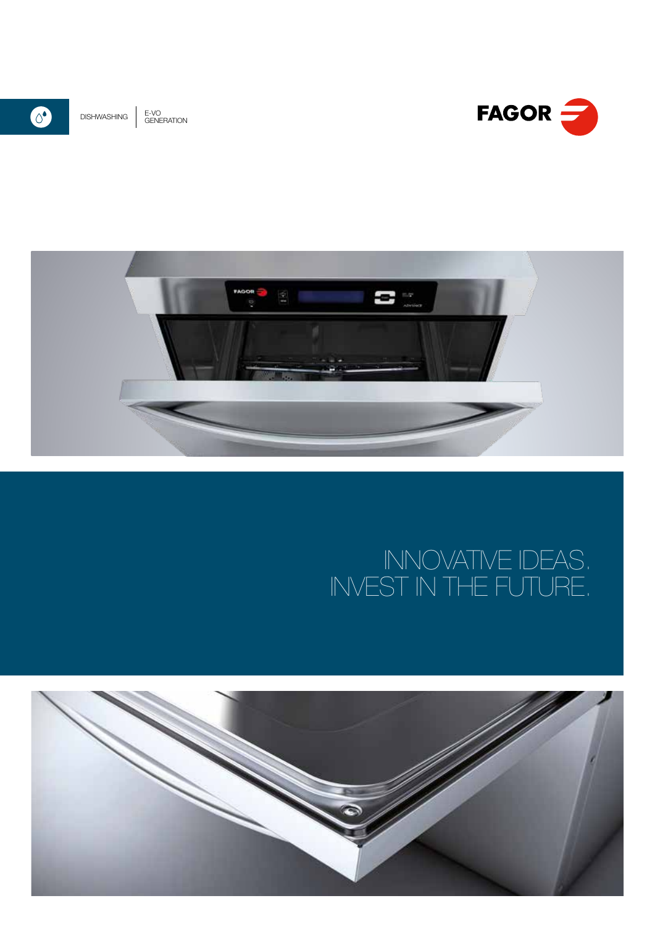





# INNOVATIVE IDEAS. INVEST IN THE FUTURE.

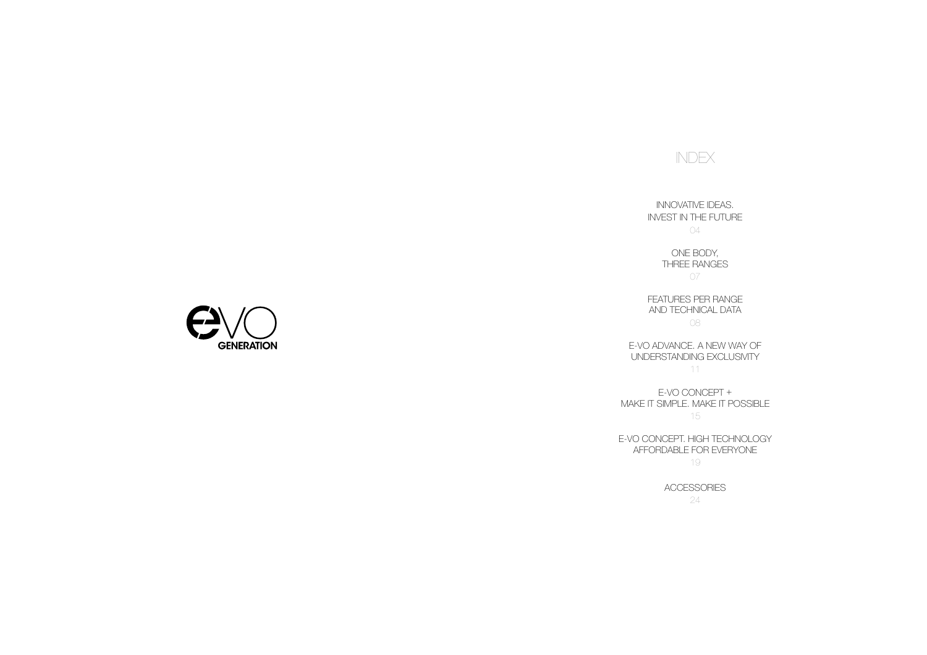# INDEX

INNOVATIVE IDEAS. INVEST IN THE FUTURE 04

> ONE BODY, THREE RANGES 07

FEATURES PER RANGE

AND TECHNICAL DATA 08

E-VO ADVANCE. A NEW WAY OF UNDERSTANDING EXCLUSIVITY 11

E-VO CONCEPT + MAKE IT SIMPLE. MAKE IT POSSIBLE 15

E-VO CONCEPT. HIGH TECHNOLOGY AFFORDABLE FOR EVERYONE 19

24



ACCESSORIES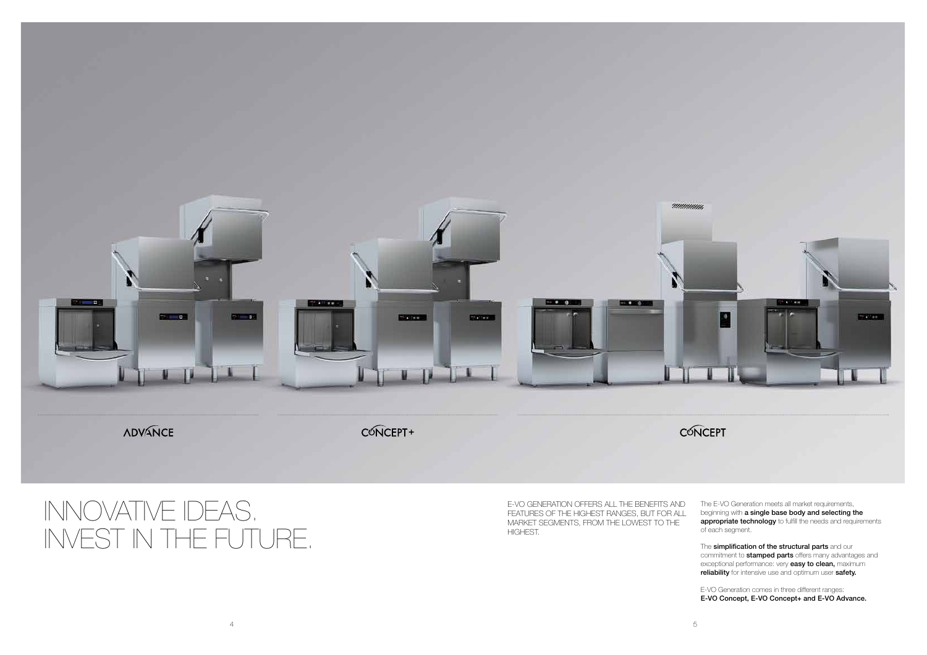

# INNOVATIVE IDEAS. INVEST IN THE FUTURE.

E-VO GENERATION OFFERS ALL THE BENEFITS AND FEATURES OF THE HIGHEST RANGES, BUT FOR ALL MARKET SEGMENTS, FROM THE LOWEST TO THE HIGHEST. The E-VO Generation meets all market requirements, beginning with a single base body and selecting the appropriate technology to fulfill the needs and requirements of each segment.

The simplification of the structural parts and our commitment to **stamped parts** offers many advantages and exceptional performance: very easy to clean, maximum reliability for intensive use and optimum user safety.

E-VO Generation comes in three different ranges: E-VO Concept, E-VO Concept+ and E-VO Advance.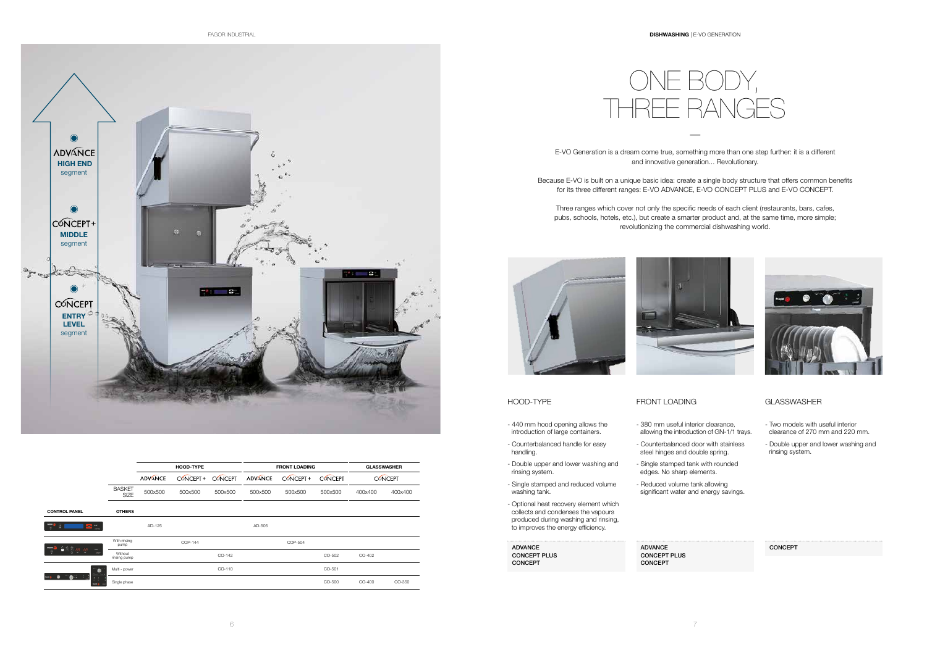

—

E-VO Generation is a dream come true, something more than one step further: it is a different and innovative generation... Revolutionary.

Because E-VO is built on a unique basic idea: create a single body structure that offers common benefits for its three different ranges: E-VO ADVANCE, E-VO CONCEPT PLUS and E-VO CONCEPT.

Three ranges which cover not only the specific needs of each client (restaurants, bars, cafes, pubs, schools, hotels, etc.), but create a smarter product and, at the same time, more simple; revolutionizing the commercial dishwashing world.





- Two models with useful interior clearance of 270 mm and 220 mm.
- Double upper and lower washing and rinsing system.
- 380 mm useful interior clearance, allowing the introduction of GN-1/1 trays.
- Counterbalanced door with stainless steel hinges and double spring.
- Single stamped tank with rounded edges. No sharp elements.
- Reduced volume tank allowing significant water and energy savings.

|                      |                         |                | <b>HOOD-TYPE</b> |                |                | <b>FRONT LOADING</b> |                | <b>GLASSWASHER</b> |                |
|----------------------|-------------------------|----------------|------------------|----------------|----------------|----------------------|----------------|--------------------|----------------|
|                      |                         | <b>ADVANCE</b> | CONCEPT+         | <b>CONCEPT</b> | <b>ADVANCE</b> | CONCEPT+             | <b>CONCEPT</b> |                    | <b>CONCEPT</b> |
|                      | <b>BASKET</b><br>SIZE   | 500x500        | 500x500          | 500x500        | 500x500        | 500x500              | 500x500        | 400×400            | 400x400        |
| <b>CONTROL PANEL</b> | <b>OTHERS</b>           |                |                  |                |                |                      |                |                    |                |
| 8.                   |                         | AD-125         |                  |                | AD-505         |                      |                |                    |                |
|                      | With rinsing<br>pump    |                | COP-144          |                |                | COP-504              |                |                    |                |
| $\sim$               | Without<br>rinsing pump |                |                  | CO-142         |                |                      | CO-502         | CO-402             |                |
|                      | Multi - power           |                |                  | CO-110         |                |                      | CO-501         |                    |                |
|                      | Single phase            |                |                  |                |                |                      | CO-500         | CO-400             | CO-350         |

- 440 mm hood opening allows the introduction of large containers.
- Counterbalanced handle for easy handling.
- Double upper and lower washing and rinsing system.
- Single stamped and reduced volume washing tank.
- Optional heat recovery element which collects and condenses the vapours produced during washing and rinsing, to improves the energy efficiency.

## HOOD-TYPE FRONT LOADING GLASSWASHER

ADVANCE CONCEPT PLUS CONCEPT

### ADVANCE CONCEPT PLUS CONCEPT



## CONCEPT

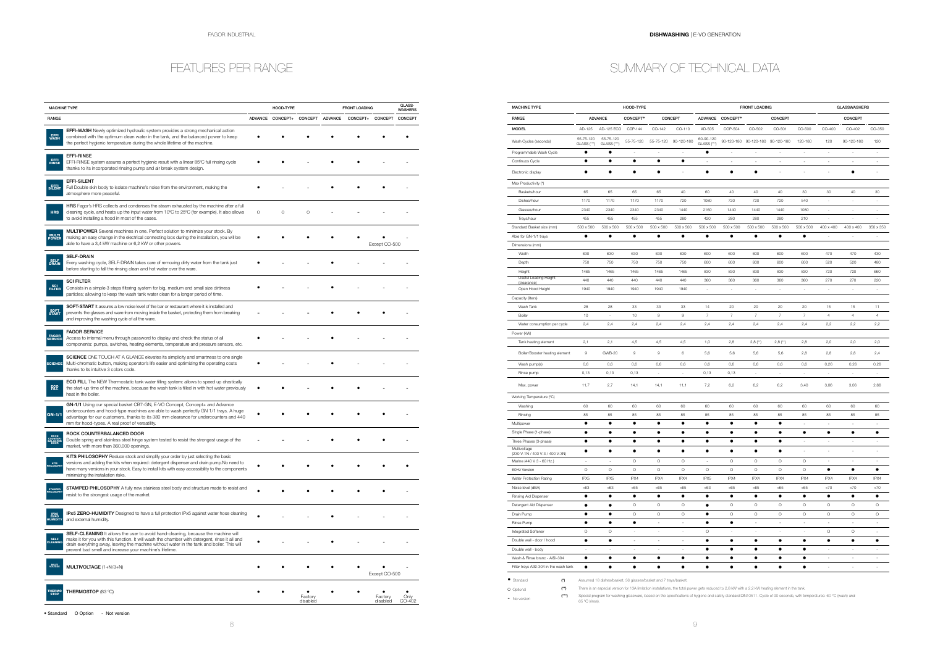## FEATURES PER RANGE

| <b>MACHINE TYPE</b>        |                                                                                                                                                                                                                                                                                                                                             |                | HOOD-TYPE       |                     |                | <b>FRONT LOADING</b> |                     | GLASS-<br><b>WASHERS</b> |  |
|----------------------------|---------------------------------------------------------------------------------------------------------------------------------------------------------------------------------------------------------------------------------------------------------------------------------------------------------------------------------------------|----------------|-----------------|---------------------|----------------|----------------------|---------------------|--------------------------|--|
| RANGE                      |                                                                                                                                                                                                                                                                                                                                             | <b>ADVANCE</b> | <b>CONCEPT+</b> | <b>CONCEPT</b>      | <b>ADVANCE</b> | CONCEPT+             | <b>CONCEPT</b>      | <b>CONCEPT</b>           |  |
| <b>WASH</b>                | <b>EFFI-WASH</b> Newly optimized hydraulic system provides a strong mechanical action<br>combined with the optimum clean water in the tank, and the balanced power to keep<br>the perfect hygienic temperature during the whole lifetime of the machine.                                                                                    |                |                 |                     |                |                      |                     |                          |  |
| EFFI<br>RINSE              | EFFI-RINSE<br>EFFI-RINSE system assures a perfect hygienic result with a linear 85°C full rinsing cycle<br>thanks to its incorporated rinsing pump and air break system design.                                                                                                                                                             |                |                 |                     |                |                      |                     |                          |  |
| SILENT                     | <b>EFFI-SILENT</b><br>Full Double skin body to isolate machine's noise from the environment, making the<br>atmosphere more peaceful.                                                                                                                                                                                                        |                |                 |                     |                |                      |                     |                          |  |
| <b>HRS</b>                 | <b>HRS</b> Fagor's HRS collects and condenses the steam exhausted by the machine after a full<br>cleaning cycle, and heats up the input water from 10°C to 25°C (for example). It also allows<br>to avoid installing a hood in most of the cases.                                                                                           | $\circ$        | O               | O                   |                |                      |                     |                          |  |
| <b>MULTI</b><br>POWER      | MULTIPOWER Several machines in one. Perfect solution to minimize your stock. By<br>making an easy change in the electrical connecting box during the installation, you will be<br>able to have a 3,4 kW machine or 6,2 kW or other powers.                                                                                                  |                |                 |                     |                |                      | Except CO-500       |                          |  |
| <b>SELF</b><br>DRAIN       | <b>SELF-DRAIN</b><br>Every washing cycle, SELF-DRAIN takes care of removing dirty water from the tank just<br>before starting to fall the rinsing clean and hot water over the ware.                                                                                                                                                        |                |                 |                     |                |                      |                     |                          |  |
| SCI<br>FILTER              | <b>SCI FILTER</b><br>Consists in a simple 3 steps filtering system for big, medium and small size dirtiness<br>particles; allowing to keep the wash tank water clean for a longer period of time.                                                                                                                                           |                |                 |                     |                |                      |                     |                          |  |
| SOFT<br>START              | <b>SOFT-START</b> It assures a low noise level of the bar or restaurant where it is installed and<br>prevents the glasses and ware from moving inside the basket, protecting them from breaking<br>and improving the washing cycle of all the ware.                                                                                         |                |                 |                     |                |                      |                     |                          |  |
| FAGOR<br>SERVICE           | <b>FAGOR SERVICE</b><br>Access to internal menu through password to display and check the status of all<br>components: pumps, switches, heating elements, temperature and pressure sensors, etc.                                                                                                                                            |                |                 |                     |                |                      |                     |                          |  |
| <b>SCIENCE</b>             | <b>SCIENCE</b> ONE TOUCH AT A GLANCE elevates its simplicity and smartness to one single<br>Multi-chromatic button, making operator's life easier and optimizing the operating costs<br>thanks to its intuitive 3 colors code.                                                                                                              |                |                 |                     |                |                      |                     |                          |  |
| 記                          | <b>ECO FILL</b> The NEW Thermostatic tank water filling system: allows to speed up drastically<br>the start-up time of the machine, because the wash tank is filled in with hot water previously<br>heat in the boiler.                                                                                                                     |                |                 |                     |                |                      |                     |                          |  |
| GN-1/1                     | GN-1/1 Using our special basket CB7-GN, E-VO Concept, Concept+ and Advance<br>undercounters and hood-type machines are able to wash perfectly GN 1/1 trays. A huge<br>advantage for our customers, thanks to its 380 mm clearance for undercounters and 440<br>mm for hood-types. A real proof of versatility.                              |                |                 |                     |                |                      |                     |                          |  |
|                            | ROCK COUNTERBALANCED DOOR<br>Double spring and stainless steel hinge system tested to resist the strongest usage of the<br>market, with more than 360.000 openings.                                                                                                                                                                         |                |                 |                     |                |                      |                     |                          |  |
| KITS<br>LOSOR              | KITS PHILOSOPHY Reduce stock and simplify your order by just selecting the basic<br>versions and adding the kits when required: detergent dispenser and drain pump. No need to<br>have many versions in your stock. Easy to install kits with easy accessibility to the components<br>minimizing the installation risks.                    |                |                 |                     |                |                      |                     |                          |  |
| <b>STAMPED</b><br>HILOSOPH | <b>STAMPED PHILOSOPHY</b> A fully new stainless steel body and structure made to resist and<br>resist to the strongest usage of the market.                                                                                                                                                                                                 |                |                 |                     |                |                      |                     |                          |  |
| IPX <sub>5</sub>           | IPx5 ZERO-HUMIDITY Designed to have a full protection IPx5 against water hose cleaning<br>and external humidity.                                                                                                                                                                                                                            |                |                 |                     |                |                      |                     |                          |  |
| SELF<br>CLEANING           | SELF-CLEANING It allows the user to avoid hand-cleaning, because the machine will<br>make it for you with this function. It will wash the chamber with detergent, rinse it all and<br>drain everything away, leaving the machine without water in the tank and boiler. This will<br>prevent bad smell and increase your machine's lifetime. |                |                 |                     |                |                      |                     |                          |  |
| MULTI<br>VOLTAGE           | MULTIVOLTAGE (1+N/3+N)                                                                                                                                                                                                                                                                                                                      |                |                 |                     |                |                      | Except CO-500       |                          |  |
| <b>THERMO</b><br>STOP      | THERMOSTOP (83 °C)                                                                                                                                                                                                                                                                                                                          |                |                 | Factory<br>disabled |                |                      | Factory<br>disabled | Only<br>CO-402           |  |

| • Standard | O Option | Not version |
|------------|----------|-------------|
|------------|----------|-------------|

# SUMMARY OF TECHNICAL DATA

| <b>MACHINE TYPE</b>                             | HOOD-TYPE                |                                                                                                                                                  |                          |                          |                          |                          | <b>FRONT LOADING</b> |                          |                          |                          | <b>GLASSWASHERS</b>      |                          |                          |
|-------------------------------------------------|--------------------------|--------------------------------------------------------------------------------------------------------------------------------------------------|--------------------------|--------------------------|--------------------------|--------------------------|----------------------|--------------------------|--------------------------|--------------------------|--------------------------|--------------------------|--------------------------|
| RANGE                                           |                          | <b>ADVANCE</b>                                                                                                                                   | CONCEPT+                 |                          | CONCEPT                  |                          | ADVANCE CONCEPT+     |                          | CONCEPT                  |                          |                          | CONCEPT                  |                          |
| <b>MODEL</b>                                    | AD-125                   | AD-125 ECO                                                                                                                                       | COP-144                  | CO-142                   | CO-110                   | AD-505                   | COP-504              | CO-502                   | CO-501                   | CO-500                   | CO-400                   | CO-402                   | CO-350                   |
| Wash Cycles (seconds)                           | 55-75-120<br>GLASS (***) | 55-75-120<br>GLASS (***)                                                                                                                         | 55-75-120                | 55-75-120                | 90-120-180               | 60-90-120<br>GLASS (***) | 90-120-180           | 90-120-180               | 90-120-180               | 120-180                  | 120                      | 90-120-180               | 120                      |
| Programmable Wash Cycle                         | ٠                        | ٠                                                                                                                                                | $\overline{\phantom{a}}$ | $\overline{\phantom{a}}$ | $\overline{\phantom{a}}$ | ٠                        | $\blacksquare$       | $\overline{\phantom{a}}$ | $\overline{\phantom{a}}$ | ÷,                       | $\overline{\phantom{a}}$ | ÷,                       |                          |
| Continuos Cycle                                 | $\bullet$                | $\bullet$                                                                                                                                        | $\bullet$                | $\bullet$                | $\bullet$                | $\sim$                   | ÷,                   | ÷,                       | ä,                       | ä,                       | ÷,                       | ÷,                       |                          |
| Electronic display                              | ٠                        | ٠                                                                                                                                                | ٠                        | ٠                        | $\sim$                   | ٠                        | ٠                    | ٠                        | ÷                        | ÷                        | ÷,                       | ٠                        |                          |
| Max Productivity (*)                            |                          |                                                                                                                                                  |                          |                          |                          |                          |                      |                          |                          |                          |                          |                          |                          |
| Baskets/hour                                    | 65                       | 65                                                                                                                                               | 65                       | 65                       | 40                       | 60                       | 40                   | 40                       | 40                       | 30                       | 30                       | 40                       | 30                       |
| Dishes/hour                                     | 1170                     | 1170                                                                                                                                             | 1170                     | 1170                     | 720                      | 1080                     | 720                  | 720                      | 720                      | 540                      | ÷,                       | J.                       | ÷.                       |
| Glasses/hour                                    | 2340                     | 2340                                                                                                                                             | 2340                     | 2340                     | 1440                     | 2160                     | 1440                 | 1440                     | 1440                     | 1080                     |                          |                          |                          |
| Trays/hour                                      | 455                      | 455                                                                                                                                              | 455                      | 455                      | 280                      | 420                      | 280                  | 280                      | 280                      | 210                      | ×,                       | ÷                        |                          |
| Standard Basket size (mm)                       | $500 \times 500$         | 500 x 500                                                                                                                                        | 500 x 500                | 500 x 500                | 500 x 500                | 500 x 500                | 500 x 500            | 500 x 500                | 500 x 500                | 500 x 500                | 400 x 400                | 400 x 400                | 350 x 350                |
| Able for GN-1/1 trays                           | $\bullet$                | $\bullet$                                                                                                                                        | $\bullet$                | $\bullet$                | $\bullet$                | ٠                        | $\bullet$            | $\bullet$                | $\bullet$                | $\bullet$                | $\overline{\phantom{a}}$ | $\overline{\phantom{a}}$ | $\overline{\phantom{a}}$ |
| Dimensions (mm)                                 |                          |                                                                                                                                                  |                          |                          |                          |                          |                      |                          |                          |                          |                          |                          |                          |
| Width                                           | 630                      | 630                                                                                                                                              | 630                      | 630                      | 630                      | 600                      | 600                  | 600                      | 600                      | 600                      | 470                      | 470                      | 430                      |
| Depth                                           | 750                      | 750                                                                                                                                              | 750                      | 750                      | 750                      | 600                      | 600                  | 600                      | 600                      | 600                      | 520                      | 520                      | 480                      |
| Height                                          | 1465                     | 1465                                                                                                                                             | 1465                     | 1465                     | 1465                     | 830                      | 830                  | 830                      | 830                      | 830                      | 720                      | 720                      | 660                      |
| <b>Useful Loading Height</b>                    | 440                      | 440                                                                                                                                              | 440                      | 440                      | 440                      | 360                      | 360                  | 360                      | 360                      | 360                      | 270                      | 270                      | 220                      |
| (clearance)<br>Open Hood Height                 | 1940                     | 1940                                                                                                                                             | 1940                     | 1940                     | 1940                     | ÷,                       | ÷                    | ÷,                       | ÷,                       | ÷,                       | ÷,                       |                          |                          |
| Capacity (liters)                               |                          |                                                                                                                                                  |                          |                          |                          |                          |                      |                          |                          |                          |                          |                          |                          |
| Wash Tank                                       | 28                       | 28                                                                                                                                               | 33                       | 33                       | 33                       | 14                       | 20                   | 20                       | 20                       | 20                       | 15                       | 15                       | 11                       |
| Boiler                                          | 10                       | $\overline{\phantom{a}}$                                                                                                                         | 10                       | $\mathbf 9$              | 9                        | $\overline{\mathcal{I}}$ | $\boldsymbol{7}$     | $\overline{\mathcal{I}}$ | $\overline{\mathcal{I}}$ | $\boldsymbol{7}$         | 4                        | $\sqrt{4}$               | 4                        |
| Water consumption per cycle                     | 2,4                      | 2,4                                                                                                                                              | 2,4                      | 2,4                      | 2,4                      | 2,4                      | 2,4                  | 2,4                      | 2,4                      | 2,4                      | 2,2                      | 2,2                      | 2,2                      |
|                                                 |                          |                                                                                                                                                  |                          |                          |                          |                          |                      |                          |                          |                          |                          |                          |                          |
| Power (kW)                                      |                          |                                                                                                                                                  |                          |                          |                          |                          |                      |                          |                          |                          |                          |                          |                          |
| Tank heating element                            | 2,1                      | 2,1                                                                                                                                              | 4,5                      | 4,5                      | 4,5                      | 1,0                      | 2,8                  | $2,8$ (**)               | $2,8$ (**)               | 2,8                      | 2,0                      | 2,0                      | 2,0                      |
| Boiler/Booster heating element                  | 9                        | <b>GWB-20</b>                                                                                                                                    | $\mathsf 9$              | $\mathsf g$              | 6                        | 5,6                      | 5,6                  | 5,6                      | 5,6                      | 2,8                      | 2,8                      | 2,8                      | 2,4                      |
| Wash pump(s)                                    | 0,6                      | 0,6                                                                                                                                              | 0,6                      | 0,6                      | 0,6                      | 0,6                      | 0,6                  | 0,6                      | 0,6                      | 0,6                      | 0,26                     | 0,26                     | 0,26                     |
| Rinse pump                                      | 0,13                     | 0,13                                                                                                                                             | 0,13                     | $\sim$                   | $\sim$                   | 0,13                     | 0,13                 | ÷,                       | ×,                       | ÷,                       | $\overline{\phantom{a}}$ | $\sim$                   | $\sim$                   |
| Max. power                                      | 11,7                     | 2,7                                                                                                                                              | 14,1                     | 14,1                     | 11,1                     | 7,2                      | 6,2                  | 6,2                      | 6,2                      | 3,40                     | 3,06                     | 3,06                     | 2,66                     |
| Working Temperature (°C)                        |                          |                                                                                                                                                  |                          |                          |                          |                          |                      |                          |                          |                          |                          |                          |                          |
| Washing                                         | 60                       | 60                                                                                                                                               | 60                       | 60                       | 60                       | 60                       | 60                   | 60                       | 60                       | 60                       | 60                       | 60                       | 60                       |
| Rinsing                                         | 85                       | 85                                                                                                                                               | 85                       | 85                       | 85                       | 85                       | 85                   | 85                       | 85                       | 85                       | 85                       | 85                       | 85                       |
| Multipower                                      | $\bullet$                | $\bullet$                                                                                                                                        | $\bullet$                | ٠                        | $\bullet$                | $\bullet$                | $\bullet$            | $\bullet$                | $\bullet$                | ×.                       | $\sim$                   | $\sim$                   | $\sim$                   |
| Single Phase (1-phase)                          | ٠                        | ٠                                                                                                                                                | ٠                        | ٠                        |                          | ٠                        |                      | ٠                        | ٠                        | ٠                        | ٠                        | ٠                        | ٠                        |
| Three Phases (3-phase)                          | $\bullet$                | $\bullet$                                                                                                                                        | $\bullet$                | $\bullet$                | $\bullet$                | $\bullet$                | $\bullet$            | $\bullet$                | $\bullet$                |                          |                          |                          |                          |
| Multivoltage<br>(230 V-1N / 400 V-3 / 400 V-3N) | ٠                        | ٠                                                                                                                                                | ٠                        | ٠                        |                          | ٠                        | ٠                    | ٠                        | ٠                        | $\overline{\phantom{a}}$ | $\overline{\phantom{a}}$ | $\overline{\phantom{a}}$ | $\overline{\phantom{a}}$ |
| Marine (440 V 3 - 60 Hz.)                       | $\sim$                   | $\sim$                                                                                                                                           | $\circ$                  | O                        | $\circ$                  | $\sim$                   | $\circ$              | $\circ$                  | $\circ$                  | $\circ$                  | $\overline{\phantom{a}}$ | $\overline{\phantom{a}}$ | $\sim$                   |
| 60Hz Version                                    | $\circ$                  | $\circ$                                                                                                                                          | $\circ$                  | O                        | O                        | $\circ$                  | О                    | $\circ$                  | $\circ$                  | $\circ$                  | $\bullet$                | $\bullet$                | $\bullet$                |
| Water Protection Rating                         | IPX5                     | IPX5                                                                                                                                             | IPX4                     | IPX4                     | IPX4                     | IPX5                     | IPX4                 | IPX4                     | IPX4                     | IPX4                     | IPX4                     | IPX4                     | IPX4                     |
| Noise level (dBA)                               | < 63                     | < 63                                                                                                                                             | < 65                     | $< 65$                   | $< 65$                   | < 63                     | < 65                 | < 65                     | < 65                     | < 65                     | ${<}70$                  | <70                      | <70                      |
| Rinsing Aid Dispenser                           | ٠                        | ٠                                                                                                                                                | ٠                        | ٠                        | ٠                        | ٠                        | ٠                    | ٠                        | ٠                        | ٠                        | ٠                        | ٠                        | ٠                        |
| Detergent Aid Dispenser                         | $\bullet$                | $\bullet$                                                                                                                                        | $\circ$                  | $\circ$                  | O                        | $\bullet$                | $\circ$              | $\circ$                  | $\circ$                  | $\circ$                  | $\circ$                  | $\circ$                  | O                        |
| Drain Pump                                      | ٠                        | ٠                                                                                                                                                | $\circ$                  | O                        | О                        | ٠                        | O                    | $\circ$                  | $\circ$                  | $\circ$                  | $\circ$                  | $\circ$                  | O                        |
| Rinse Pump                                      | $\bullet$                | $\bullet$                                                                                                                                        | $\bullet$                | $\sim$                   | $\sim$                   | $\bullet$                | $\bullet$            | ÷,                       | ÷,                       | $\sim$                   | $\sim$                   | $\sim$                   | ÷.                       |
| Integrated Softener                             | O                        | $\circ$                                                                                                                                          | ÷.                       | $\overline{\phantom{a}}$ | $\sim$                   | $\circ$                  | ÷.                   | $\overline{\phantom{a}}$ | ÷,                       | ä,                       | O                        | $\circ$                  | $\sim$                   |
| Double wall - door / hood                       | $\bullet$                | $\bullet$                                                                                                                                        | $\overline{\phantom{a}}$ | $\sim$                   | $\overline{\phantom{a}}$ | $\bullet$                | $\bullet$            | ٠                        | ٠                        | $\bullet$                | $\bullet$                | $\bullet$                | ٠                        |
| Double wall - body                              | $\overline{\phantom{a}}$ | $\overline{\phantom{a}}$                                                                                                                         | $\overline{\phantom{a}}$ | $\overline{\phantom{a}}$ | $\overline{\phantom{a}}$ | $\bullet$                | $\bullet$            | $\bullet$                | $\bullet$                | $\bullet$                | $\blacksquare$           | $\ddot{\phantom{0}}$     | $\overline{\phantom{a}}$ |
| Wash & Rinse branc - AISI-304                   | ٠                        | $\bullet$                                                                                                                                        | $\bullet$                | ٠                        | $\bullet$                | ٠                        | ٠                    | ٠                        | ٠                        | ٠                        | $\overline{\phantom{a}}$ | ÷,                       | $\sim$                   |
| Filter trays AISI-304 in the wash tank          | $\bullet$                | $\bullet$                                                                                                                                        | $\bullet$                | $\bullet$                | $\bullet$                | $\bullet$                | $\bullet$            | $\bullet$                | $\bullet$                | $\bullet$                | ÷,                       | ÷,                       | $\sim$                   |
| $\bullet$ Standard<br>(*)                       |                          | Assumed 18 dishes/basket, 36 glasses/basket and 7 trays/basket.                                                                                  |                          |                          |                          |                          |                      |                          |                          |                          |                          |                          |                          |
| $(**)$                                          |                          | There is an especial version for 13A limitation installations, the total power gets reduced to 2,8 kW with a 2,2 kW heating element in the tank. |                          |                          |                          |                          |                      |                          |                          |                          |                          |                          |                          |
| O Optional                                      |                          |                                                                                                                                                  |                          |                          |                          |                          |                      |                          |                          |                          |                          |                          |                          |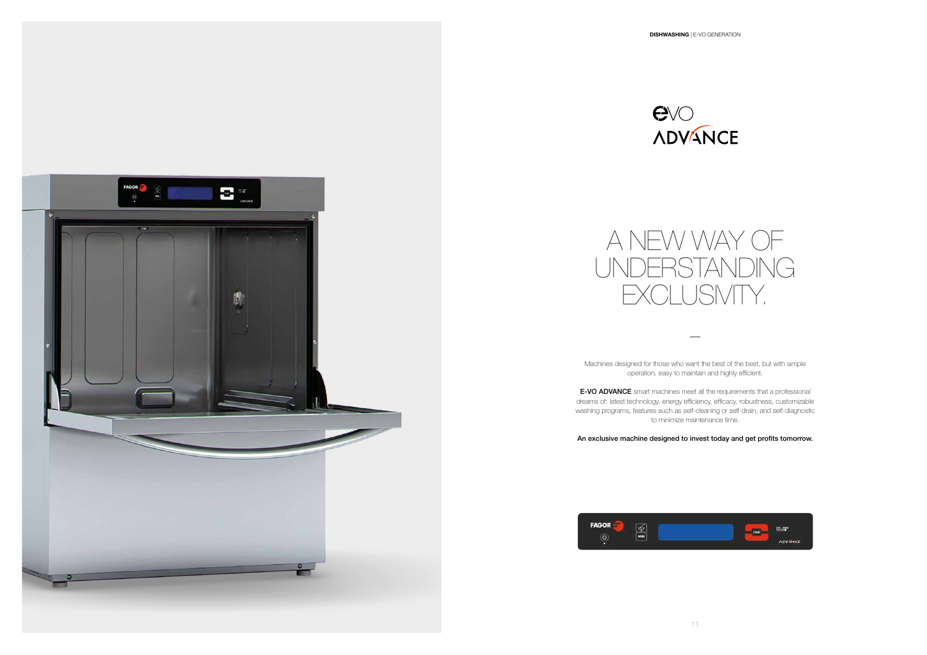

—

Machines designed for those who want the best of the best, but with simple operation, easy to maintain and highly efficient.

**E-VO ADVANCE** smart machines meet all the requirements that a professional dreams of: latest technology, energy efficiency, efficacy, robustness, customizable washing programs, features such as self-cleaning or self-drain, and self-diagnostic to minimize maintenance time.





## An exclusive machine designed to invest today and get profits tomorrow.

![](_page_5_Picture_2.jpeg)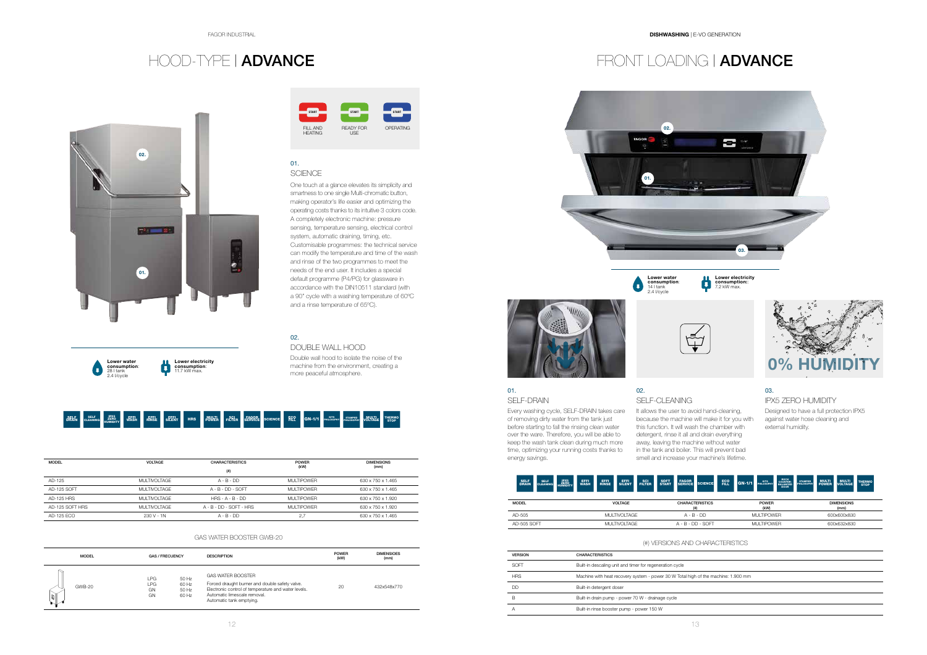![](_page_6_Picture_2.jpeg)

![](_page_6_Picture_33.jpeg)

![](_page_6_Picture_15.jpeg)

Lower water<br>consumption:<br>14 | tank<br>2.4 |/cycle

![](_page_6_Picture_17.jpeg)

![](_page_6_Picture_10.jpeg)

![](_page_6_Picture_23.jpeg)

![](_page_6_Picture_14.jpeg)

## 01. SELF-DRAIN

Every washing cycle, SELF-DRAIN takes care It allows the user to avoid hand-cleaning, of removing dirty water from the tank just before starting to fall the rinsing clean water over the ware. Therefore, you will be able to keep the wash tank clean during much more time, optimizing your running costs thanks to energy savings.

## 02. SELF-CLEANING

## 01. **SCIENCE**

![](_page_6_Picture_38.jpeg)

f the machine: 1.900 mm

because the machine will make it for you with this function. It will wash the chamber with detergent, rinse it all and drain everything away, leaving the machine without water in the tank and boiler. This will prevent bad smell and increase your machine's lifetime.

## 03.

## IPX5 ZERO HUMIDITY

Designed to have a full protection IPX5 against water hose cleaning and external humidity.

![](_page_6_Picture_3.jpeg)

| <b>MODEL</b>      | <b>VOLTAGE</b>      | <b>CHARACTERISTICS</b>  | <b>POWER</b>      | <b>DIMENSIONS</b> |
|-------------------|---------------------|-------------------------|-------------------|-------------------|
|                   |                     | $($ #)                  | (kW)              | (mm)              |
| AD-125            | <b>MULTIVOLTAGE</b> | $A - B - DD$            | <b>MULTIPOWER</b> | 630 x 750 x 1.465 |
| AD-125 SOFT       | MUI TIVOI TAGE      | $A - B - DD - SOFT$     | MUI TIPOWER       | 630 x 750 x 1.465 |
| <b>AD-125 HRS</b> | MUI TIVOI TAGE      | $HRS - A - B - DD$      | MUI TIPOWER       | 630 x 750 x 1.920 |
| AD-125 SOFT HRS   | MUI TIVOI TAGE      | A - B - DD - SOFT - HRS | MUI TIPOWER       | 630 x 750 x 1.920 |
| AD-125 ECO        | $230 V - 1N$        | $A - B - DD$            | 2,7               | 630 x 750 x 1.465 |

| <b>MODEL</b> | <b>VOLTAGE</b> | <b>CHARACTERISTICS</b><br>$($ #) | <b>POWER</b><br>(kW) | <b>DIMENSIONS</b><br>(mm) |
|--------------|----------------|----------------------------------|----------------------|---------------------------|
| AD-505       | MUI TIVOI TAGE | $A - B - DD$                     | MUI TIPOWER          | 600x600x830               |
| AD-505 SOFT  | MUI TIVOI TAGE | $A - B - DD - SOFT$              | MUI TIPOWER          | 600x632x830               |

## (#) VERSIONS AND CHARACTERISTICS

One touch at a glance elevates its simplicity and smartness to one single Multi-chromatic button, making operator's life easier and optimizing the operating costs thanks to its intuitive 3 colors code. A completely electronic machine: pressure sensing, temperature sensing, electrical control system, automatic draining, timing, etc. Customisable programmes: the technical service can modify the temperature and time of the wash and rinse of the two programmes to meet the needs of the end user. It includes a special default programme (P4/PG) for glassware in accordance with the DIN10511 standard (with a 90" cycle with a washing temperature of 60ºC and a rinse temperature of 65ºC).

## 02.

## DOUBLE WALL HOOD

Double wall hood to isolate the noise of the machine from the environment, creating a more peaceful atmosphere.

![](_page_6_Picture_6.jpeg)

Lower electricity consumption:: 7.2 kW max.

![](_page_6_Picture_32.jpeg)

| <b>MODEL</b>  | <b>GAS / FRECUENCY</b>  |                                  | <b>DESCRIPTION</b>                                                                                                                                                                            | <b>POWER</b><br>(kW) | <b>DIMENSIOES</b><br>(mm) |
|---------------|-------------------------|----------------------------------|-----------------------------------------------------------------------------------------------------------------------------------------------------------------------------------------------|----------------------|---------------------------|
| <b>GWB-20</b> | I PG<br>LPG<br>GN<br>GN | 50 Hz<br>60 Hz<br>50 Hz<br>60 Hz | <b>GAS WATER BOOSTER</b><br>Forced draught burner and double safety valve.<br>Electronic control of temperature and water levels.<br>Automatic limescale removal.<br>Automatic tank emptying. | 20                   | 432x548x770               |

## GAS WATER BOOSTER GWB-20

| <b>VERSION</b> | <b>CHARACTERISTICS</b>                                      |
|----------------|-------------------------------------------------------------|
| SOFT           | Built-in descaling unit and timer for regeneration cycle    |
| <b>HRS</b>     | Machine with heat recovery system - power 30 W Total high o |
| DD             | Built-in detergent doser                                    |
| B              | Built-in drain pump - power 70 W - drainage cycle           |
| А              | Built-in rinse booster pump - power 150 W                   |
|                |                                                             |

![](_page_6_Picture_30.jpeg)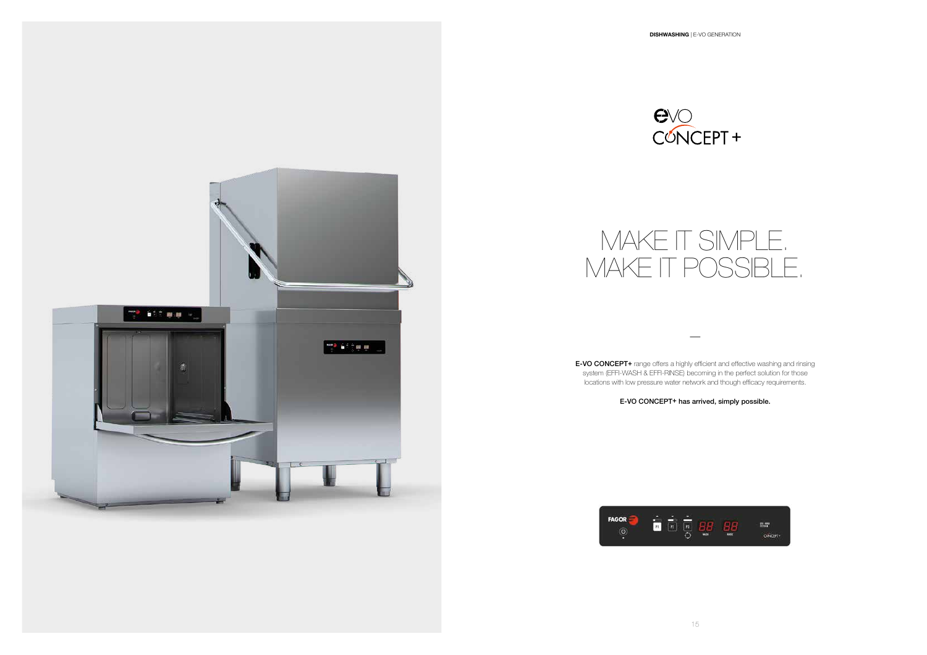![](_page_7_Picture_1.jpeg)

—

![](_page_7_Picture_5.jpeg)

![](_page_7_Picture_6.jpeg)

E-VO CONCEPT+ range offers a highly efficient and effective washing and rinsing system (EFFI-WASH & EFFI-RINSE) becoming in the perfect solution for those locations with low pressure water network and though efficacy requirements.

## E-VO CONCEPT+ has arrived, simply possible.

# MAKE IT SIMPLE. MAKE IT POSSIBLE.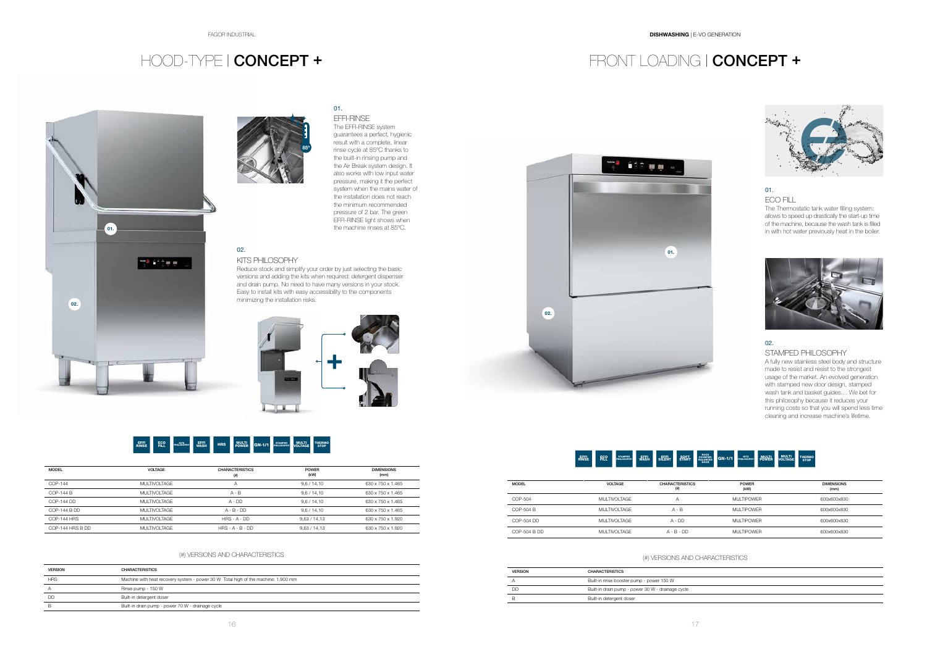# HOOD-TYPE | CONCEPT + FRONT LOADING | CONCEPT +

![](_page_8_Picture_5.jpeg)

![](_page_8_Picture_4.jpeg)

![](_page_8_Picture_15.jpeg)

![](_page_8_Picture_11.jpeg)

![](_page_8_Picture_16.jpeg)

## 02. KITS PHILOSOPHY

Reduce stock and simplify your order by just selecting the basic versions and adding the kits when required: detergent dispenser and drain pump. No need to have many versions in your stock. Easy to install kits with easy accessibility to the components minimizing the installation risks.

![](_page_8_Picture_10.jpeg)

## 01.

## ECO FILL

The Thermostatic tank water filling system: allows to speed up drastically the start-up time of the machine, because the wash tank is filled in with hot water previously heat in the boiler.

![](_page_8_Picture_27.jpeg)

## 02.

## STAMPED PHILOSOPHY

A fully new stainless steel body and structure made to resist and resist to the strongest usage of the market. An evolved generation with stamped new door design, stamped wash tank and basket guides… We bet for this philosophy because it reduces your running costs so that you will spend less time cleaning and increase machine's lifetime.

| <b>MODEL</b>       | <b>VOLTAGE</b>      | <b>CHARACTERISTICS</b><br>(#) | <b>POWER</b><br>(kW) | <b>DIMENSIONS</b><br>(mm) |
|--------------------|---------------------|-------------------------------|----------------------|---------------------------|
| COP-144            | <b>MULTIVOLTAGE</b> | Α                             | 9.6 / 14.10          | 630 x 750 x 1.465         |
| COP-144 B          | <b>MULTIVOLTAGE</b> | $A - B$                       | 9.6 / 14.10          | 630 x 750 x 1.465         |
| COP-144 DD         | <b>MULTIVOLTAGE</b> | $A - DD$                      | 9.6 / 14.10          | 630 x 750 x 1.465         |
| COP-144 B DD       | <b>MULTIVOLTAGE</b> | $A - B - DD$                  | 9.6 / 14.10          | 630 x 750 x 1.465         |
| <b>COP-144 HRS</b> | MUI TIVOI TAGE      | $HRS - A - DD$                | 9.63 / 14.13         | 630 x 750 x 1.920         |
| COP-144 HRS B DD   | <b>MULTIVOLTAGE</b> | $HRS - A - B - DD$            | 9.63 / 14.13         | 630 x 750 x 1.920         |

| <b>MODEL</b> | <b>VOLTAGE</b>      | <b>CHARACTERISTICS</b><br>$($ #) | <b>POWER</b><br>(kW) | <b>DIMENSIONS</b><br>(mm) |
|--------------|---------------------|----------------------------------|----------------------|---------------------------|
| COP-504      | <b>MULTIVOLTAGE</b> | Α                                | <b>MULTIPOWER</b>    | 600x600x830               |
| COP-504 B    | <b>MULTIVOLTAGE</b> | $A - B$                          | <b>MULTIPOWER</b>    | 600x600x830               |
| COP-504 DD   | MUI TIVOI TAGE      | $A - DD$                         | <b>MULTIPOWER</b>    | 600x600x830               |
| COP-504 B DD | MUI TIVOI TAGE      | $A - B - DD$                     | MUI TIPOWER          | 600x600x830               |

## (#) VERSIONS AND CHARACTERISTICS

| <b>VERSION</b> | <b>CHARACTERISTICS</b>                                                             |
|----------------|------------------------------------------------------------------------------------|
| <b>HRS</b>     | Machine with heat recovery system - power 30 W Total high of the machine: 1.900 mm |
| $\overline{A}$ | Rinse pump - 150 W                                                                 |
| DD             | Built-in detergent doser                                                           |
| B              | Built-in drain pump - power 70 W - drainage cycle                                  |

## (#) VERSIONS AND CHARACTERISTICS

| <b>VERSION</b> | <b>CHARACTERISTICS</b>                            |
|----------------|---------------------------------------------------|
|                | Built-in rinse booster pump - power 150 W         |
| חח             | Built-in drain pump - power 30 W - drainage cycle |
|                | Built-in detergent doser                          |

![](_page_8_Picture_23.jpeg)

## 01.

EFFI-RINSE The EFFI-RINSE system guarantees a perfect, hygienic result with a complete, linear rinse cycle at 85ºC thanks to the built-in rinsing pump and the Air Break system design. It also works with low input water pressure, making it the perfect system when the mains water of the installation does not reach the minimum recommended pressure of 2 bar. The green EFFI-RINSE light shows when the machine rinses at 85ºC.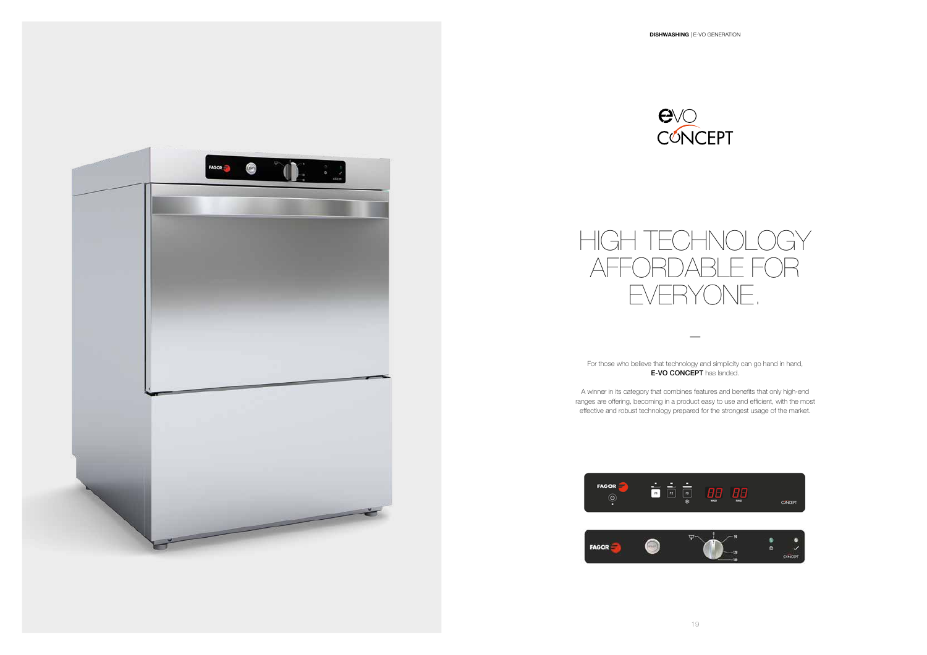For those who believe that technology and simplicity can go hand in hand, **E-VO CONCEPT** has landed.

![](_page_9_Picture_1.jpeg)

—

A winner in its category that combines features and benefits that only high-end ranges are offering, becoming in a product easy to use and efficient, with the most effective and robust technology prepared for the strongest usage of the market.

![](_page_9_Picture_5.jpeg)

![](_page_9_Picture_6.jpeg)

![](_page_9_Picture_7.jpeg)

![](_page_9_Picture_2.jpeg)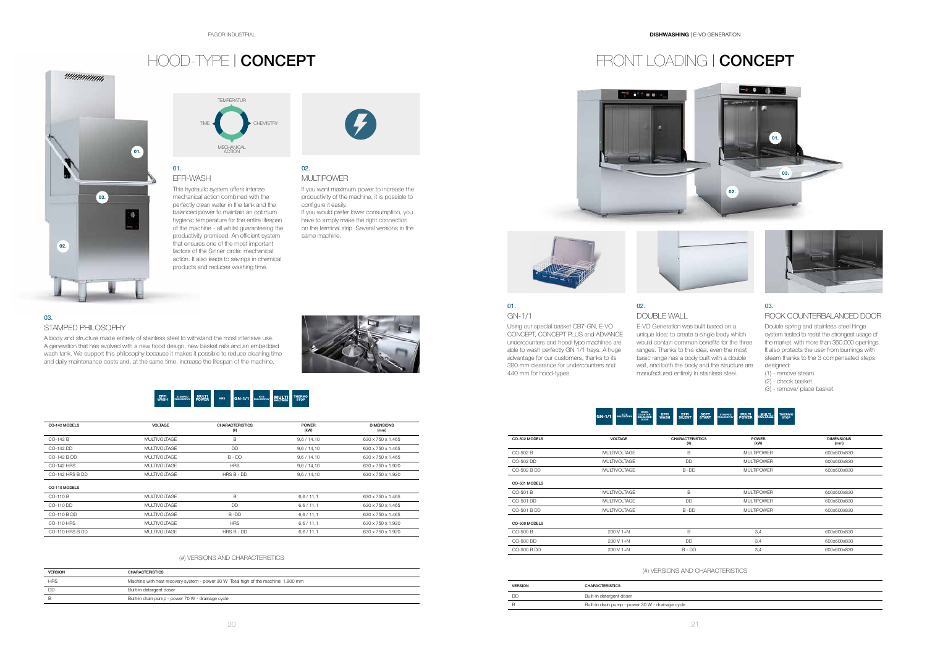# HOOD-TYPE | CONCEPT FRONT LOADING | CONCEPT

# *ummum*  $01.$ 03. 70 02.

![](_page_10_Picture_13.jpeg)

![](_page_10_Picture_14.jpeg)

![](_page_10_Picture_26.jpeg)

![](_page_10_Picture_18.jpeg)

01. GN-1/1

able to wash perfectly GN 1/1 trays. A huge advantage for our customers, thanks to its 380 mm clearance for undercounters and

440 mm for hood-types.

## 03.

## ROCK COUNTERBALANCED DOOR

Double spring and stainless steel hinge system tested to resist the strongest usage of the market, with more than 360.000 openings. It also protects the user from burnings with steam thanks to the 3 compensated steps designed:

- (1) remove steam.
- (2) check basket.
- (3) remove/ place basket.

![](_page_10_Picture_4.jpeg)

|               | ROCK<br>COUNTER-<br>BALANCED<br>KITS<br>PHILOSOPHY<br><b>GN-1/1</b><br><b>DOOR</b> | <b>LEFFI</b><br>WASH<br>EFFI<br>SILENT<br>SOFT<br>START | <b>MULTI</b><br>VOLTAGE<br><b>MULTI</b><br>POWER<br><b>THERMO</b><br><b>STAMPED</b><br><b>PHILOSOPHY</b><br><b>STOP</b> |                           |
|---------------|------------------------------------------------------------------------------------|---------------------------------------------------------|-------------------------------------------------------------------------------------------------------------------------|---------------------------|
| CO-502 MODELS | <b>VOLTAGE</b>                                                                     | <b>CHARACTERISTICS</b><br>(#)                           | <b>POWER</b><br>(kW)                                                                                                    | <b>DIMENSIONS</b><br>(mm) |
| CO-502 B      | <b>MULTIVOLTAGE</b>                                                                | B                                                       | <b>MULTIPOWER</b>                                                                                                       | 600x600x830               |
| CO-502 DD     | <b>MULTIVOLTAGE</b>                                                                | DD                                                      | <b>MULTIPOWER</b>                                                                                                       | 600x600x830               |
| CO-502 B DD   | <b>MULTIVOLTAGE</b>                                                                | B-DD                                                    | <b>MULTIPOWER</b>                                                                                                       | 600x600x830               |
| CO-501 MODELS |                                                                                    |                                                         |                                                                                                                         |                           |
| CO-501 B      | <b>MULTIVOLTAGE</b>                                                                | B                                                       | <b>MULTIPOWER</b>                                                                                                       | 600x600x830               |
| CO-501 DD     | <b>MULTIVOLTAGE</b>                                                                | <b>DD</b>                                               | <b>MULTIPOWER</b>                                                                                                       | 600x600x830               |
| CO-501 B DD   | <b>MULTIVOLTAGE</b>                                                                | B-DD                                                    | <b>MULTIPOWER</b>                                                                                                       | 600x600x830               |
| CO-500 MODELS |                                                                                    |                                                         |                                                                                                                         |                           |
| CO-500 B      | 230 V 1+N                                                                          | B                                                       | 3,4                                                                                                                     | 600x600x830               |
| CO-500 DD     | 230 V 1+N                                                                          | DD                                                      | 3,4                                                                                                                     | 600x600x830               |
| CO-500 B DD   | 230 V 1+N                                                                          | $B - DD$                                                | 3,4                                                                                                                     | 600x600x830               |

| CO-142 MODELS   | <b>VOLTAGE</b>      | <b>CHARACTERISTICS</b><br>$^{(#)}$ | <b>POWER</b><br>(kW) | <b>DIMENSIONS</b><br>(mm) |
|-----------------|---------------------|------------------------------------|----------------------|---------------------------|
| CO-142 B        | <b>MULTIVOLTAGE</b> | B                                  | 9,6 / 14,10          | 630 x 750 x 1.465         |
| CO-142 DD       | <b>MULTIVOLTAGE</b> | <b>DD</b>                          | 9,6/14,10            | 630 x 750 x 1.465         |
| CO-142 B DD     | <b>MULTIVOLTAGE</b> | $B - DD$                           | 9,6/14,10            | 630 x 750 x 1.465         |
| CO-142 HRS      | <b>MULTIVOLTAGE</b> | <b>HRS</b>                         | 9,6/14,10            | 630 x 750 x 1.920         |
| CO-142 HRS B DD | <b>MULTIVOLTAGE</b> | $HRSB - DD$                        | 9,6/14,10            | 630 x 750 x 1.920         |
| CO-110 MODELS   |                     |                                    |                      |                           |
| CO-110 B        | <b>MULTIVOLTAGE</b> | B                                  | 6,6/11,1             | 630 x 750 x 1.465         |
| CO-110 DD       | <b>MULTIVOLTAGE</b> | <b>DD</b>                          | 6,6/11,1             | 630 x 750 x 1.465         |
| CO-110 B DD     | <b>MULTIVOLTAGE</b> | $B$ -DD                            | 6,6/11,1             | 630 x 750 x 1.465         |
| CO-110 HRS      | <b>MULTIVOLTAGE</b> | <b>HRS</b>                         | 6,6/11,1             | 630 x 750 x 1.920         |
| CO-110 HRS B DD | <b>MULTIVOLTAGE</b> | $HRSB - DD$                        | 6,6/11,1             | 630 x 750 x 1.920         |

Using our special basket CB7-GN, E-VO CONCEPT, CONCEPT PLUS and ADVANCE undercounters and hood-type machines are 02. DOUBLE WALL

| <b>VERSION</b> | <b>CHARACTERISTICS</b>                                                             |
|----------------|------------------------------------------------------------------------------------|
| <b>HRS</b>     | Machine with heat recovery system - power 30 W Total high of the machine: 1.900 mm |
| <b>DD</b>      | Built-in detergent doser                                                           |
|                | Built-in drain pump - power 70 W - drainage cycle                                  |

![](_page_10_Picture_32.jpeg)

![](_page_10_Picture_33.jpeg)

![](_page_10_Picture_34.jpeg)

## (#) VERSIONS AND CHARACTERISTICS

## (#) VERSIONS AND CHARACTERISTICS

| <b>VERSION</b> | <b>CHARACTERISTICS</b>                            |
|----------------|---------------------------------------------------|
| חח             | Built-in detergent doser                          |
|                | Built-in drain pump - power 30 W - drainage cycle |

## 01. EFFI-WASH

This hydraulic system offers intense mechanical action combined with the perfectly clean water in the tank and the balanced power to maintain an optimum hygienic temperature for the entire lifespan of the machine - all whilst guaranteeing the productivity promised. An efficient system that ensures one of the most important factors of the Sinner circle: mechanical action. It also leads to savings in chemical products and reduces washing time.

![](_page_10_Picture_7.jpeg)

## 03.

## STAMPED PHILOSOPHY

A body and structure made entirely of stainless steel to withstand the most intensive use. A generation that has evolved with a new hood design, new basket rails and an embedded wash tank. We support this philosophy because it makes it possible to reduce cleaning time and daily maintenance costs and, at the same time, increase the lifespan of the machine.

![](_page_10_Picture_25.jpeg)

## 02.

MULTIPOWER

If you want maximum power to increase the productivity of the machine, it is possible to configure it easily. If you would prefer lower consumption, you

have to simply make the right connection on the terminal strip. Several versions in the same machine.

![](_page_10_Picture_12.jpeg)

E-VO Generation was built based on a unique idea: to create a single body which would contain common benefits for the three ranges. Thanks to this idea, even the most basic range has a body built with a double wall, and both the body and the structure are manufactured entirely in stainless steel.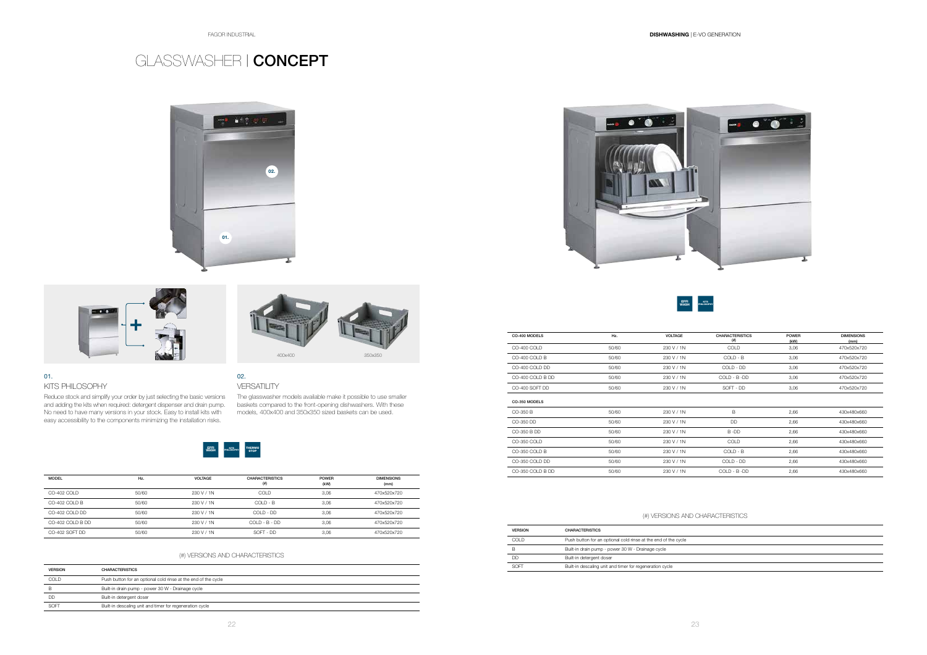EFFI

### **WASH PHILOSO** PHILOSOPHY

400x400 350x350

![](_page_11_Picture_3.jpeg)

![](_page_11_Picture_4.jpeg)

![](_page_11_Picture_5.jpeg)

![](_page_11_Picture_13.jpeg)

## 01.

KITS PHILOSOPHY

and adding the kits when required: detergent dispenser and drain pump. No need to have many versions in your stock. Easy to install kits with easy accessibility to the components minimizing the installation risks.

# GLASSWASHER | CONCEPT

| <b>MODEL</b>     | Hz.   | <b>VOLTAGE</b> | <b>CHARACTERISTICS</b><br>(#) | <b>POWER</b><br>(kW) | <b>DIMENSIONS</b><br>(mm) |
|------------------|-------|----------------|-------------------------------|----------------------|---------------------------|
| CO-402 COLD      | 50/60 | 230 V / 1N     | <b>COLD</b>                   | 3.06                 | 470x520x720               |
| CO-402 COLD B    | 50/60 | 230 V / 1N     | $COI D - B$                   | 3.06                 | 470x520x720               |
| CO-402 COLD DD   | 50/60 | 230 V / 1N     | COI D - DD                    | 3.06                 | 470x520x720               |
| CO-402 COLD B DD | 50/60 | 230 V / 1N     | $COI D - B - DD$              | 3.06                 | 470x520x720               |
| CO-402 SOFT DD   | 50/60 | 230 V / 1N     | SOFT - DD                     | 3,06                 | 470x520x720               |

| CO-400 MODELS    | Hz.   | <b>VOLTAGE</b> | <b>CHARACTERISTICS</b><br>$^{(#)}$ | <b>POWER</b> | <b>DIMENSIONS</b>   |
|------------------|-------|----------------|------------------------------------|--------------|---------------------|
| CO-400 COLD      | 50/60 | 230 V / 1N     | COLD                               | (kW)<br>3,06 | (mm)<br>470x520x720 |
| CO-400 COLD B    | 50/60 | 230 V / 1N     | $COLD - B$                         | 3,06         | 470x520x720         |
| CO-400 COLD DD   | 50/60 | 230 V / 1N     | COLD - DD                          | 3,06         | 470x520x720         |
| CO-400 COLD B DD | 50/60 | 230 V / 1N     | COLD - B -DD                       | 3,06         | 470x520x720         |
| CO-400 SOFT DD   | 50/60 | 230 V / 1N     | SOFT - DD                          | 3,06         | 470x520x720         |
| CO-350 MODELS    |       |                |                                    |              |                     |
| CO-350 B         | 50/60 | 230 V / 1N     | B                                  | 2,66         | 430x480x660         |
| CO-350 DD        | 50/60 | 230 V / 1N     | <b>DD</b>                          | 2,66         | 430x480x660         |
| CO-350 B DD      | 50/60 | 230 V / 1N     | B-DD                               | 2,66         | 430x480x660         |
| CO-350 COLD      | 50/60 | 230 V / 1N     | COLD                               | 2,66         | 430x480x660         |
| CO-350 COLD B    | 50/60 | 230 V / 1N     | COLD - B                           | 2,66         | 430x480x660         |
| CO-350 COLD DD   | 50/60 | 230 V / 1N     | COLD - DD                          | 2,66         | 430x480x660         |
| CO-350 COLD B DD | 50/60 | 230 V / 1N     | $COLD - B - DD$                    | 2,66         | 430x480x660         |

Reduce stock and simplify your order by just selecting the basic versions The glasswasher models available make it possible to use smaller baskets compared to the front-opening dishwashers. With these models, 400x400 and 350x350 sized baskets can be used.

## (#) VERSIONS AND CHARACTERISTICS

## (#) VERSIONS AND CHARACTERISTICS

| <b>VERSION</b> | <b>CHARACTERISTICS</b>                                         |
|----------------|----------------------------------------------------------------|
| COLD           | Push button for an optional cold rinse at the end of the cycle |
|                | Built-in drain pump - power 30 W - Drainage cycle              |
| DD             | Built-in detergent doser                                       |
| SOFT           | Built-in descaling unit and timer for regeneration cycle       |

| <b>VERSION</b> | <b>CHARACTERISTICS</b>                                         |
|----------------|----------------------------------------------------------------|
| COLD.          | Push button for an optional cold rinse at the end of the cycle |
| В              | Built-in drain pump - power 30 W - Drainage cycle              |
| DD             | Built-in detergent doser                                       |
| RNFT           | Built-in descaling unit and timer for regeneration cycle       |

## 02.

## VERSATILITY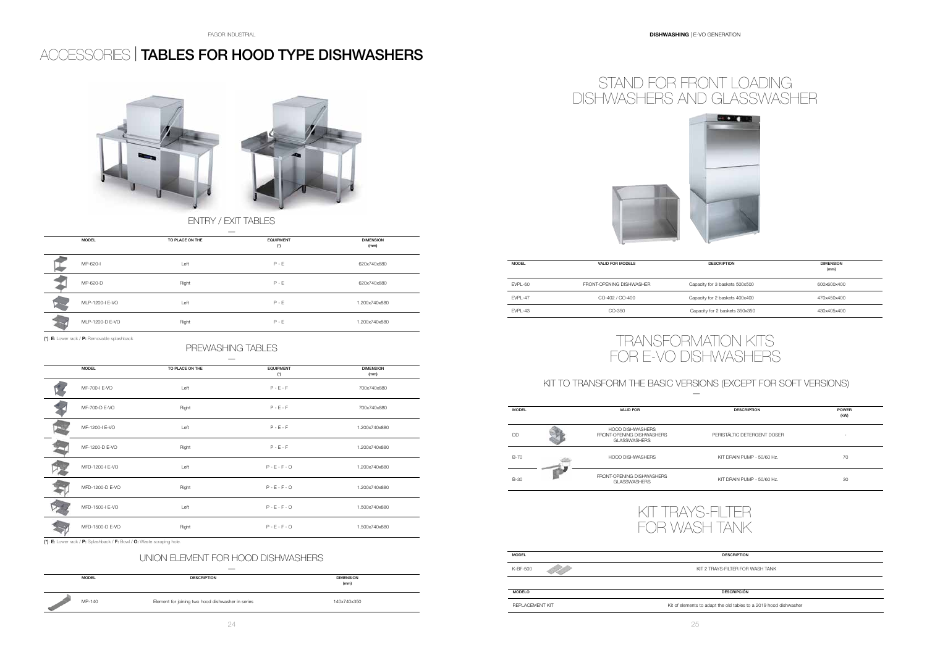# ACCESSORIES | TABLES FOR HOOD TYPE DISHWASHERS

![](_page_12_Picture_3.jpeg)

## PREWASHING TABLES

| <b>MODEL</b>    | TO PLACE ON THE | <b>EQUIPMENT</b> | <b>DIMENSION</b> |
|-----------------|-----------------|------------------|------------------|
|                 |                 | $(*)$            | (mm)             |
| MF-700-I E-VO   | Left            | $P - E - F$      | 700x740x880      |
| MF-700-D E-VO   | Right           | $P - E - F$      | 700x740x880      |
| MF-1200-I E-VO  | Left            | $P - E - F$      | 1.200x740x880    |
| MF-1200-D E-VO  | Right           | $P - E - F$      | 1.200x740x880    |
| MFD-1200-I E-VO | Left            | $P - E - F - O$  | 1.200x740x880    |
| MFD-1200-D E-VO | Right           | $P - E - F - O$  | 1.200x740x880    |
| MFD-1500-I E-VO | Left            | $P - E - F - O$  | 1.500x740x880    |
| MFD-1500-D E-VO | Right           | $P - E - F - O$  | 1.500x740x880    |
|                 |                 |                  |                  |

 $\overline{(\cdot)}$ : E: Lower rack / P: Splashback / F: Bowl / O: Waste scraping hole.

![](_page_12_Figure_12.jpeg)

![](_page_12_Picture_13.jpeg)

| <b>MODEL</b> | <b>VALID FOR MODELS</b>  | <b>DESCRIPTION</b>             | <b>DIMENSION</b><br>(mm) |
|--------------|--------------------------|--------------------------------|--------------------------|
| EVPL-60      | FRONT-OPFNING DISHWASHER | Capacity for 3 baskets 500x500 | 600x600x400              |
| EVPL-47      | CO-402 / CO-400          | Capacity for 2 baskets 400x400 | 470x450x400              |
| EVPL-43      | CO-350                   | Capacity for 2 baskets 350x350 | 430x405x400              |

| <b>MODEL</b>    | TO PLACE ON THE | <b>EQUIPMENT</b><br>$(^{\star})$ | <b>DIMENSION</b><br>(mm) |
|-----------------|-----------------|----------------------------------|--------------------------|
| MP-620-I        | Left            | $P - E$                          | 620x740x880              |
| MP-620-D        | Right           | $P - E$                          | 620x740x880              |
| MLP-1200-I E-VO | Left            | $P - E$                          | 1.200x740x880            |
| MLP-1200-D E-VO | Right           | $P - E$                          | 1.200x740x880            |

## ENTRY / EXIT TABLES

## KIT TO TRANSFORM THE BASIC VERSIONS (EXCEPT FOR SOFT VERSIONS)

| <b>DESCRIPTION</b>          | <b>POWER</b><br>(kW) |
|-----------------------------|----------------------|
| PERISTÁLTIC DETERGENT DOSER |                      |
| KIT DRAIN PUMP - 50/60 Hz.  | 70                   |
| KIT DRAIN PUMP - 50/60 Hz.  | 30                   |
|                             |                      |

![](_page_12_Figure_17.jpeg)

# TRANSFORMATION KITS FOR E-VO DISHWASHERS

![](_page_12_Picture_18.jpeg)

(\*): E: Lower rack / P: Removable splashback

![](_page_12_Figure_19.jpeg)

| <b>MODEL</b> | <b>DESCRIPTION</b>                                | <b>DIMENSION</b><br>(mm) |
|--------------|---------------------------------------------------|--------------------------|
| MP-140       | Element for joining two hood dishwasher in series | 140x740x350              |

## UNION ELEMENT FOR HOOD DISHWASHERS